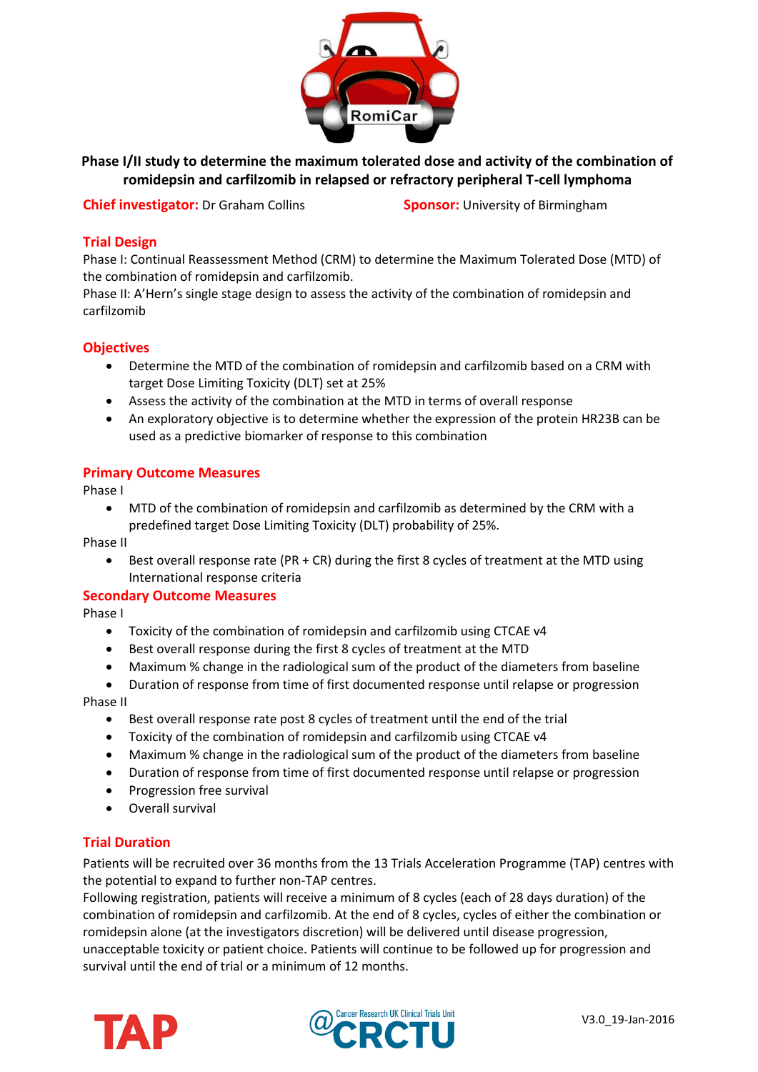

**Phase I/II study to determine the maximum tolerated dose and activity of the combination of romidepsin and carfilzomib in relapsed or refractory peripheral T-cell lymphoma**

**Chief investigator:** Dr Graham Collins **Sponsor:** University of Birmingham

## **Trial Design**

Phase I: Continual Reassessment Method (CRM) to determine the Maximum Tolerated Dose (MTD) of the combination of romidepsin and carfilzomib.

Phase II: A'Hern's single stage design to assess the activity of the combination of romidepsin and carfilzomib

## **Objectives**

- Determine the MTD of the combination of romidepsin and carfilzomib based on a CRM with target Dose Limiting Toxicity (DLT) set at 25%
- Assess the activity of the combination at the MTD in terms of overall response
- An exploratory objective is to determine whether the expression of the protein HR23B can be used as a predictive biomarker of response to this combination

#### **Primary Outcome Measures**

Phase I

 MTD of the combination of romidepsin and carfilzomib as determined by the CRM with a predefined target Dose Limiting Toxicity (DLT) probability of 25%.

Phase II

 Best overall response rate (PR + CR) during the first 8 cycles of treatment at the MTD using International response criteria

#### **Secondary Outcome Measures**

Phase I

- Toxicity of the combination of romidepsin and carfilzomib using CTCAE v4
- Best overall response during the first 8 cycles of treatment at the MTD
- Maximum % change in the radiological sum of the product of the diameters from baseline
- Duration of response from time of first documented response until relapse or progression

#### Phase II

- Best overall response rate post 8 cycles of treatment until the end of the trial
- Toxicity of the combination of romidepsin and carfilzomib using CTCAE v4
- Maximum % change in the radiological sum of the product of the diameters from baseline
- Duration of response from time of first documented response until relapse or progression
- Progression free survival
- Overall survival

## **Trial Duration**

Patients will be recruited over 36 months from the 13 Trials Acceleration Programme (TAP) centres with the potential to expand to further non-TAP centres.

Following registration, patients will receive a minimum of 8 cycles (each of 28 days duration) of the combination of romidepsin and carfilzomib. At the end of 8 cycles, cycles of either the combination or romidepsin alone (at the investigators discretion) will be delivered until disease progression, unacceptable toxicity or patient choice. Patients will continue to be followed up for progression and survival until the end of trial or a minimum of 12 months.



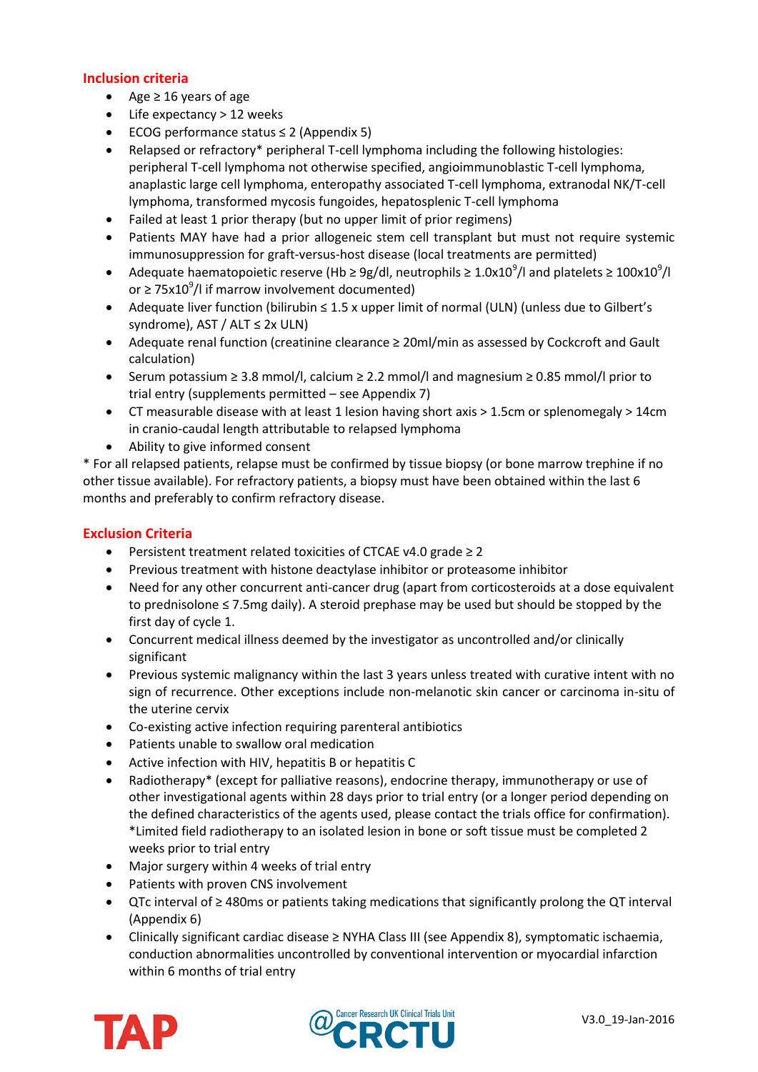# **Inclusion criteria**

- $\triangle$  Age ≥ 16 years of age
- Life expectancy > 12 weeks
- ECOG performance status ≤ 2 (Appendix 5)
- Relapsed or refractory\* peripheral T-cell lymphoma including the following histologies: peripheral T-cell lymphoma not otherwise specified, angioimmunoblastic T-cell lymphoma, anaplastic large cell lymphoma, enteropathy associated T-cell lymphoma, extranodal NK/T-cell lymphoma, transformed mycosis fungoides, hepatosplenic T-cell lymphoma
- Failed at least 1 prior therapy (but no upper limit of prior regimens)
- Patients MAY have had a prior allogeneic stem cell transplant but must not require systemic immunosuppression for graft-versus-host disease (local treatments are permitted)
- Adequate haematopoietic reserve (Hb ≥ 9g/dl, neutrophils ≥ 1.0x10<sup>9</sup>/l and platelets ≥ 100x10<sup>9</sup>/l or  $\geq$  75x10<sup>9</sup>/l if marrow involvement documented)
- Adequate liver function (bilirubin ≤ 1.5 x upper limit of normal (ULN) (unless due to Gilbert's syndrome), AST / ALT  $\leq$  2x ULN)
- Adequate renal function (creatinine clearance ≥ 20ml/min as assessed by Cockcroft and Gault calculation)
- Serum potassium ≥ 3.8 mmol/l, calcium ≥ 2.2 mmol/l and magnesium ≥ 0.85 mmol/l prior to trial entry (supplements permitted – see Appendix 7)
- CT measurable disease with at least 1 lesion having short axis > 1.5cm or splenomegaly > 14cm in cranio-caudal length attributable to relapsed lymphoma
- Ability to give informed consent

\* For all relapsed patients, relapse must be confirmed by tissue biopsy (or bone marrow trephine if no other tissue available). For refractory patients, a biopsy must have been obtained within the last 6 months and preferably to confirm refractory disease.

## **Exclusion Criteria**

- Persistent treatment related toxicities of CTCAE v4.0 grade ≥ 2
- Previous treatment with histone deactylase inhibitor or proteasome inhibitor
- Need for any other concurrent anti-cancer drug (apart from corticosteroids at a dose equivalent to prednisolone ≤ 7.5mg daily). A steroid prephase may be used but should be stopped by the first day of cycle 1.
- Concurrent medical illness deemed by the investigator as uncontrolled and/or clinically significant
- Previous systemic malignancy within the last 3 years unless treated with curative intent with no sign of recurrence. Other exceptions include non-melanotic skin cancer or carcinoma in-situ of the uterine cervix
- Co-existing active infection requiring parenteral antibiotics
- Patients unable to swallow oral medication
- Active infection with HIV, hepatitis B or hepatitis C
- Radiotherapy\* (except for palliative reasons), endocrine therapy, immunotherapy or use of other investigational agents within 28 days prior to trial entry (or a longer period depending on the defined characteristics of the agents used, please contact the trials office for confirmation). \*Limited field radiotherapy to an isolated lesion in bone or soft tissue must be completed 2 weeks prior to trial entry
- Major surgery within 4 weeks of trial entry
- Patients with proven CNS involvement
- QTc interval of ≥ 480ms or patients taking medications that significantly prolong the QT interval (Appendix 6)
- Clinically significant cardiac disease ≥ NYHA Class III (see Appendix 8), symptomatic ischaemia, conduction abnormalities uncontrolled by conventional intervention or myocardial infarction within 6 months of trial entry